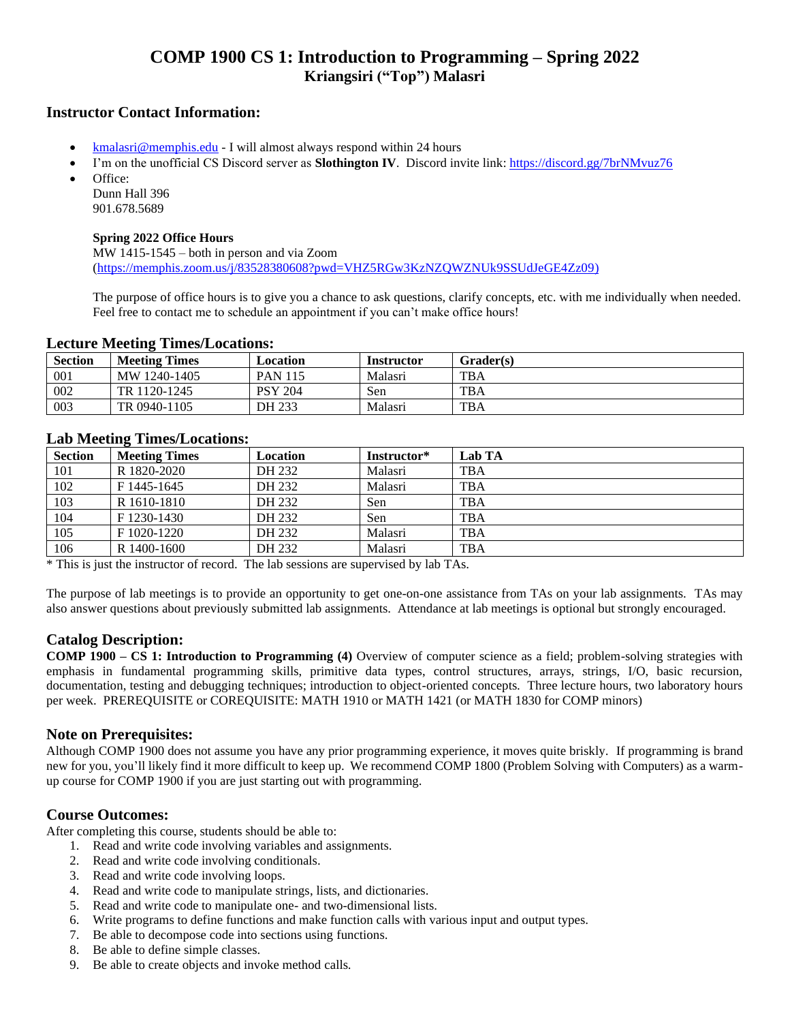# **COMP 1900 CS 1: Introduction to Programming – Spring 2022 Kriangsiri ("Top") Malasri**

### **Instructor Contact Information:**

- [kmalasri@memphis.edu](mailto:kmalasri@memphis.edu) I will almost always respond within 24 hours
- I'm on the unofficial CS Discord server as **Slothington IV**. Discord invite link:<https://discord.gg/7brNMvuz76> Office:

Dunn Hall 396 901.678.5689

#### **Spring 2022 Office Hours**

MW 1415-1545 – both in person and via Zoom [\(https://memphis.zoom.us/j/83528380608?pwd=VHZ5RGw3KzNZQWZNUk9SSUdJeGE4Zz09\)](https://memphis.zoom.us/j/83528380608?pwd=VHZ5RGw3KzNZQWZNUk9SSUdJeGE4Zz09)

The purpose of office hours is to give you a chance to ask questions, clarify concepts, etc. with me individually when needed. Feel free to contact me to schedule an appointment if you can't make office hours!

#### **Lecture Meeting Times/Locations:**

| <b>Section</b> | <b>Meeting Times</b> | Location       | Instructor | Grader(s)  |
|----------------|----------------------|----------------|------------|------------|
| 001            | MW 1240-1405         | <b>PAN 115</b> | Malasri    | <b>TBA</b> |
| 002            | TR 1120-1245         | <b>PSY 204</b> | Sen        | <b>TBA</b> |
| 003            | TR 0940-1105         | DH 233         | Malasri    | <b>TBA</b> |

### **Lab Meeting Times/Locations:**

| <b>Section</b> | <b>Meeting Times</b> | Location | Instructor* | Lab TA     |
|----------------|----------------------|----------|-------------|------------|
| 101            | R 1820-2020          | DH 232   | Malasri     | <b>TBA</b> |
| 102            | F 1445-1645          | DH 232   | Malasri     | <b>TBA</b> |
| 103            | R 1610-1810          | DH 232   | Sen         | <b>TBA</b> |
| 104            | F 1230-1430          | DH 232   | Sen         | <b>TBA</b> |
| 105            | F 1020-1220          | DH 232   | Malasri     | <b>TBA</b> |
| 106            | R 1400-1600          | DH 232   | Malasri     | <b>TBA</b> |

\* This is just the instructor of record. The lab sessions are supervised by lab TAs.

The purpose of lab meetings is to provide an opportunity to get one-on-one assistance from TAs on your lab assignments. TAs may also answer questions about previously submitted lab assignments. Attendance at lab meetings is optional but strongly encouraged.

## **Catalog Description:**

**COMP 1900 – CS 1: Introduction to Programming (4)** Overview of computer science as a field; problem-solving strategies with emphasis in fundamental programming skills, primitive data types, control structures, arrays, strings, I/O, basic recursion, documentation, testing and debugging techniques; introduction to object-oriented concepts. Three lecture hours, two laboratory hours per week. PREREQUISITE or COREQUISITE: MATH 1910 or MATH 1421 (or MATH 1830 for COMP minors)

## **Note on Prerequisites:**

Although COMP 1900 does not assume you have any prior programming experience, it moves quite briskly. If programming is brand new for you, you'll likely find it more difficult to keep up. We recommend COMP 1800 (Problem Solving with Computers) as a warmup course for COMP 1900 if you are just starting out with programming.

### **Course Outcomes:**

After completing this course, students should be able to:

- 1. Read and write code involving variables and assignments.
- 2. Read and write code involving conditionals.
- 3. Read and write code involving loops.
- 4. Read and write code to manipulate strings, lists, and dictionaries.
- 5. Read and write code to manipulate one- and two-dimensional lists.
- 6. Write programs to define functions and make function calls with various input and output types.
- 7. Be able to decompose code into sections using functions.
- 8. Be able to define simple classes.
- 9. Be able to create objects and invoke method calls.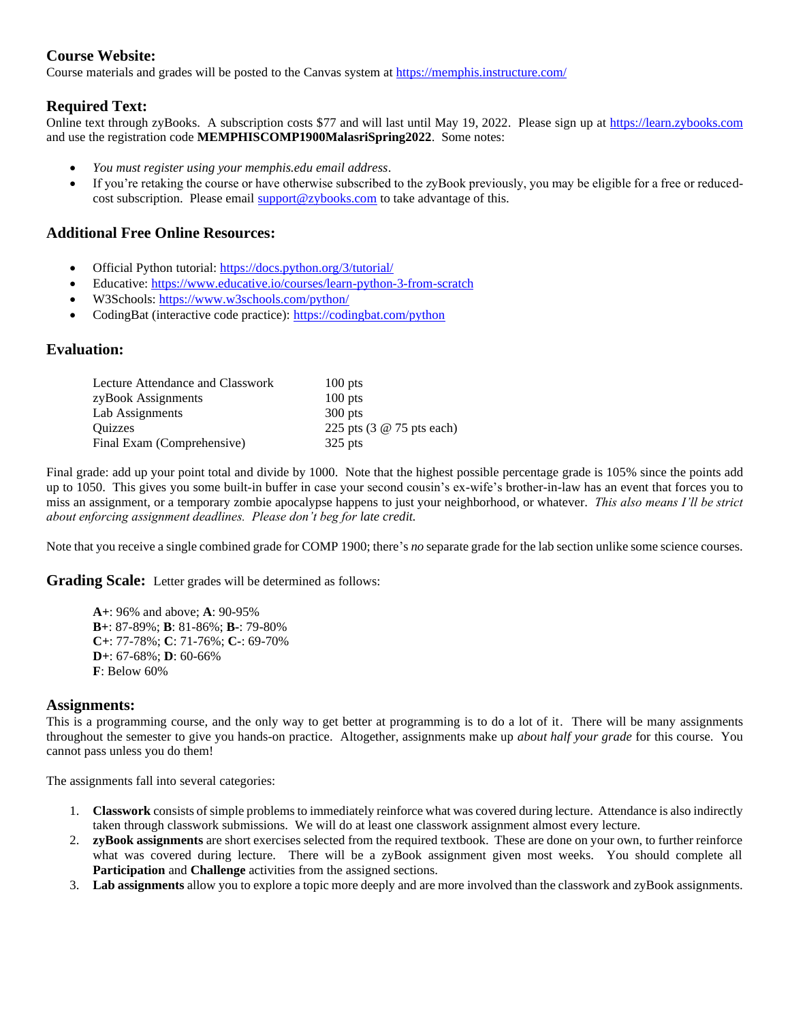## **Course Website:**

Course materials and grades will be posted to the Canvas system at<https://memphis.instructure.com/>

## **Required Text:**

Online text through zyBooks. A subscription costs \$77 and will last until May 19, 2022. Please sign up a[t https://learn.zybooks.com](https://learn.zybooks.com/) and use the registration code **MEMPHISCOMP1900MalasriSpring2022**. Some notes:

- *You must register using your memphis.edu email address*.
- If you're retaking the course or have otherwise subscribed to the zyBook previously, you may be eligible for a free or reducedcost subscription. Please email [support@zybooks.com](mailto:support@zybooks.com) to take advantage of this.

## **Additional Free Online Resources:**

- Official Python tutorial[: https://docs.python.org/3/tutorial/](https://docs.python.org/3/tutorial/)
- Educative:<https://www.educative.io/courses/learn-python-3-from-scratch>
- W3Schools:<https://www.w3schools.com/python/>
- CodingBat (interactive code practice):<https://codingbat.com/python>

#### **Evaluation:**

| Lecture Attendance and Classwork | $100$ pts                 |
|----------------------------------|---------------------------|
| zyBook Assignments               | $100$ pts                 |
| Lab Assignments                  | $300$ pts                 |
| <b>Ouizzes</b>                   | 225 pts (3 @ 75 pts each) |
| Final Exam (Comprehensive)       | $325$ pts                 |

Final grade: add up your point total and divide by 1000. Note that the highest possible percentage grade is 105% since the points add up to 1050. This gives you some built-in buffer in case your second cousin's ex-wife's brother-in-law has an event that forces you to miss an assignment, or a temporary zombie apocalypse happens to just your neighborhood, or whatever. *This also means I'll be strict about enforcing assignment deadlines. Please don't beg for late credit.*

Note that you receive a single combined grade for COMP 1900; there's *no* separate grade for the lab section unlike some science courses.

**Grading Scale:** Letter grades will be determined as follows:

**A+**: 96% and above; **A**: 90-95% **B+**: 87-89%; **B**: 81-86%; **B-**: 79-80% **C+**: 77-78%; **C**: 71-76%; **C-**: 69-70% **D+**: 67-68%; **D**: 60-66% **F**: Below 60%

#### **Assignments:**

This is a programming course, and the only way to get better at programming is to do a lot of it. There will be many assignments throughout the semester to give you hands-on practice. Altogether, assignments make up *about half your grade* for this course. You cannot pass unless you do them!

The assignments fall into several categories:

- 1. **Classwork** consists of simple problems to immediately reinforce what was covered during lecture. Attendance is also indirectly taken through classwork submissions. We will do at least one classwork assignment almost every lecture.
- 2. **zyBook assignments** are short exercises selected from the required textbook. These are done on your own, to further reinforce what was covered during lecture. There will be a zyBook assignment given most weeks. You should complete all **Participation** and **Challenge** activities from the assigned sections.
- 3. **Lab assignments** allow you to explore a topic more deeply and are more involved than the classwork and zyBook assignments.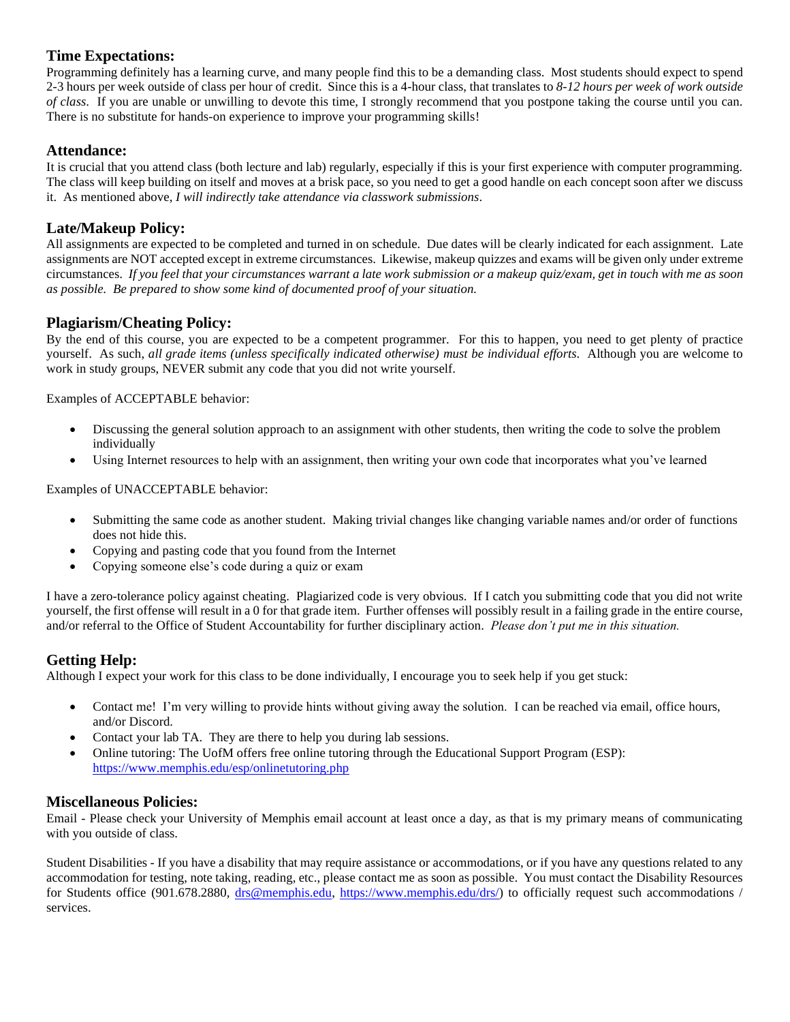## **Time Expectations:**

Programming definitely has a learning curve, and many people find this to be a demanding class. Most students should expect to spend 2-3 hours per week outside of class per hour of credit. Since this is a 4-hour class, that translates to *8-12 hours per week of work outside of class*. If you are unable or unwilling to devote this time, I strongly recommend that you postpone taking the course until you can. There is no substitute for hands-on experience to improve your programming skills!

## **Attendance:**

It is crucial that you attend class (both lecture and lab) regularly, especially if this is your first experience with computer programming. The class will keep building on itself and moves at a brisk pace, so you need to get a good handle on each concept soon after we discuss it. As mentioned above, *I will indirectly take attendance via classwork submissions*.

## **Late/Makeup Policy:**

All assignments are expected to be completed and turned in on schedule. Due dates will be clearly indicated for each assignment. Late assignments are NOT accepted except in extreme circumstances. Likewise, makeup quizzes and exams will be given only under extreme circumstances. *If you feel that your circumstances warrant a late work submission or a makeup quiz/exam, get in touch with me as soon as possible. Be prepared to show some kind of documented proof of your situation.*

## **Plagiarism/Cheating Policy:**

By the end of this course, you are expected to be a competent programmer. For this to happen, you need to get plenty of practice yourself. As such, *all grade items (unless specifically indicated otherwise) must be individual efforts*. Although you are welcome to work in study groups, NEVER submit any code that you did not write yourself.

Examples of ACCEPTABLE behavior:

- Discussing the general solution approach to an assignment with other students, then writing the code to solve the problem individually
- Using Internet resources to help with an assignment, then writing your own code that incorporates what you've learned

Examples of UNACCEPTABLE behavior:

- Submitting the same code as another student. Making trivial changes like changing variable names and/or order of functions does not hide this.
- Copying and pasting code that you found from the Internet
- Copying someone else's code during a quiz or exam

I have a zero-tolerance policy against cheating. Plagiarized code is very obvious. If I catch you submitting code that you did not write yourself, the first offense will result in a 0 for that grade item. Further offenses will possibly result in a failing grade in the entire course, and/or referral to the Office of Student Accountability for further disciplinary action. *Please don't put me in this situation.*

## **Getting Help:**

Although I expect your work for this class to be done individually, I encourage you to seek help if you get stuck:

- Contact me! I'm very willing to provide hints without giving away the solution. I can be reached via email, office hours, and/or Discord.
- Contact your lab TA. They are there to help you during lab sessions.
- Online tutoring: The UofM offers free online tutoring through the Educational Support Program (ESP): <https://www.memphis.edu/esp/onlinetutoring.php>

### **Miscellaneous Policies:**

Email - Please check your University of Memphis email account at least once a day, as that is my primary means of communicating with you outside of class.

Student Disabilities - If you have a disability that may require assistance or accommodations, or if you have any questions related to any accommodation for testing, note taking, reading, etc., please contact me as soon as possible. You must contact the Disability Resources for Students office (901.678.2880, [drs@memphis.edu,](mailto:drs@memphis.edu) [https://www.memphis.edu/drs/\)](https://www.memphis.edu/drs/) to officially request such accommodations / services.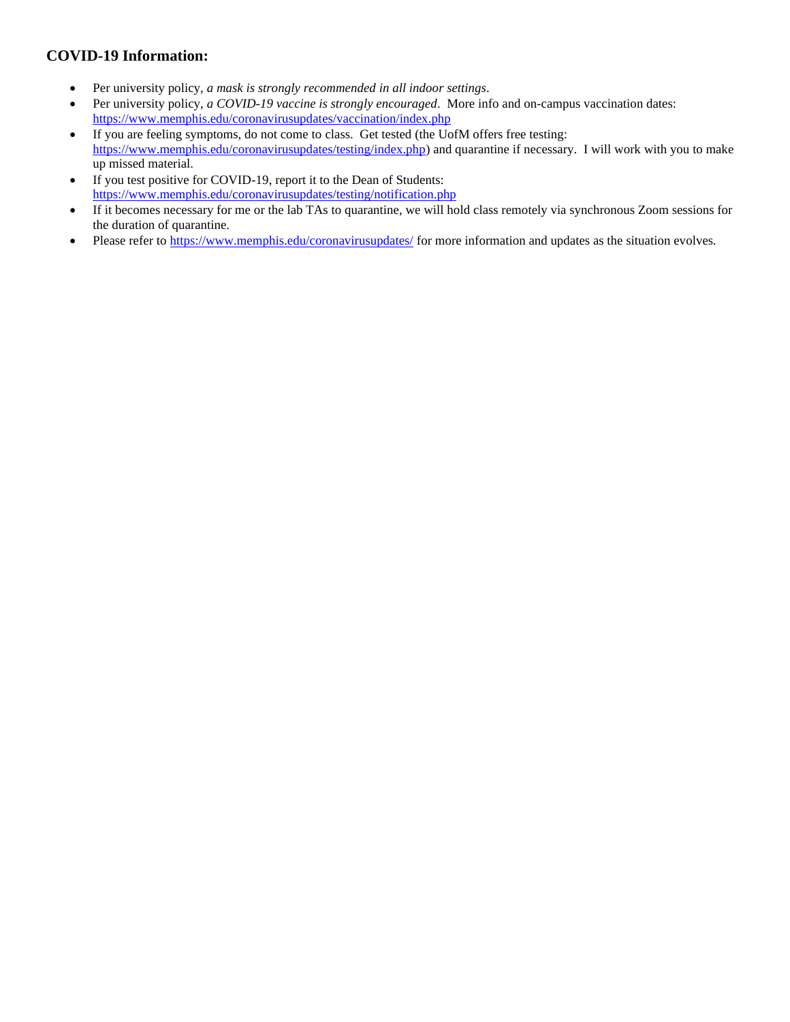## **COVID-19 Information:**

- Per university policy, *a mask is strongly recommended in all indoor settings*.
- Per university policy, *a COVID-19 vaccine is strongly encouraged*. More info and on-campus vaccination dates: <https://www.memphis.edu/coronavirusupdates/vaccination/index.php>
- If you are feeling symptoms, do not come to class. Get tested (the UofM offers free testing: [https://www.memphis.edu/coronavirusupdates/testing/index.php\)](https://www.memphis.edu/coronavirusupdates/testing/index.php) and quarantine if necessary. I will work with you to make up missed material.
- If you test positive for COVID-19, report it to the Dean of Students: <https://www.memphis.edu/coronavirusupdates/testing/notification.php>
- If it becomes necessary for me or the lab TAs to quarantine, we will hold class remotely via synchronous Zoom sessions for the duration of quarantine.
- Please refer t[o https://www.memphis.edu/coronavirusupdates/](https://www.memphis.edu/coronavirusupdates/) for more information and updates as the situation evolves.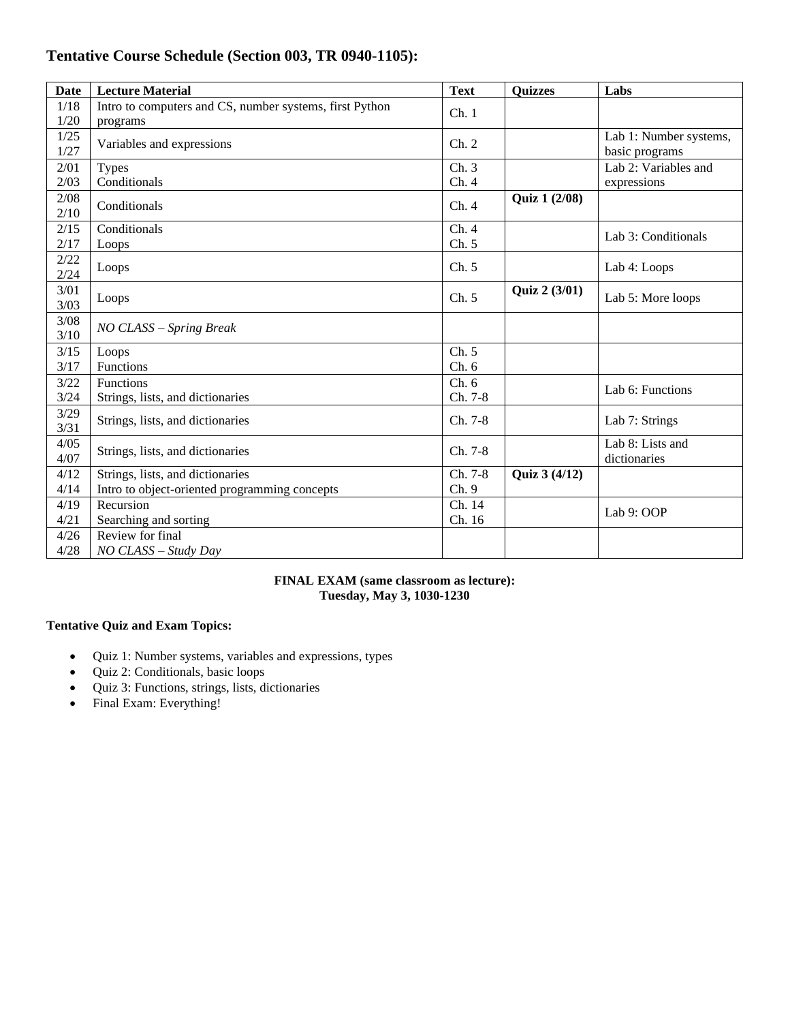## **Tentative Course Schedule (Section 003, TR 0940-1105):**

| <b>Date</b> | <b>Lecture Material</b>                                 | <b>Text</b> | <b>Quizzes</b>       | Labs                   |
|-------------|---------------------------------------------------------|-------------|----------------------|------------------------|
| 1/18        | Intro to computers and CS, number systems, first Python | Ch.1        |                      |                        |
| 1/20        | programs                                                |             |                      |                        |
| 1/25        | Variables and expressions                               | Ch. 2       |                      | Lab 1: Number systems, |
| 1/27        |                                                         |             |                      | basic programs         |
| 2/01        | <b>Types</b>                                            | Ch.3        |                      | Lab 2: Variables and   |
| 2/03        | Conditionals                                            | Ch.4        |                      | expressions            |
| 2/08        | Conditionals                                            | Ch.4        | <b>Quiz 1 (2/08)</b> |                        |
| 2/10        |                                                         |             |                      |                        |
| 2/15        | Conditionals                                            | Ch.4        |                      |                        |
| 2/17        | Loops                                                   | Ch. 5       |                      | Lab 3: Conditionals    |
| 2/22        |                                                         |             |                      |                        |
| 2/24        | Loops                                                   | Ch. 5       |                      | Lab 4: Loops           |
| 3/01        |                                                         |             | Quiz 2 (3/01)        |                        |
| 3/03        | Loops                                                   | Ch. 5       |                      | Lab 5: More loops      |
| 3/08        |                                                         |             |                      |                        |
| 3/10        | NO CLASS - Spring Break                                 |             |                      |                        |
| 3/15        | Loops                                                   | Ch. 5       |                      |                        |
| 3/17        | Functions                                               | Ch.6        |                      |                        |
| 3/22        | Functions                                               | Ch. 6       |                      |                        |
| 3/24        | Strings, lists, and dictionaries                        | Ch. 7-8     |                      | Lab 6: Functions       |
| 3/29        |                                                         |             |                      |                        |
| 3/31        | Strings, lists, and dictionaries                        | Ch. 7-8     |                      | Lab 7: Strings         |
| 4/05        |                                                         |             |                      | Lab 8: Lists and       |
| 4/07        | Strings, lists, and dictionaries                        | Ch. 7-8     |                      | dictionaries           |
| 4/12        | Strings, lists, and dictionaries                        | Ch. 7-8     | <b>Quiz 3 (4/12)</b> |                        |
| 4/14        | Intro to object-oriented programming concepts           | Ch.9        |                      |                        |
| 4/19        | Recursion                                               | Ch. 14      |                      |                        |
| 4/21        | Searching and sorting                                   | Ch. 16      |                      | Lab 9: OOP             |
| 4/26        | Review for final                                        |             |                      |                        |
| 4/28        | NO CLASS - Study Day                                    |             |                      |                        |

#### **FINAL EXAM (same classroom as lecture): Tuesday, May 3, 1030-1230**

## **Tentative Quiz and Exam Topics:**

- Quiz 1: Number systems, variables and expressions, types
- Quiz 2: Conditionals, basic loops
- Quiz 3: Functions, strings, lists, dictionaries
- Final Exam: Everything!